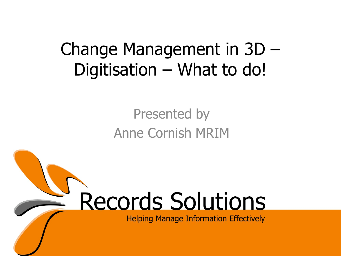#### Change Management in 3D – Digitisation – What to do!

#### Presented by Anne Cornish MRIM

# **Records Solutions**

**Helping Manage Information Effectively**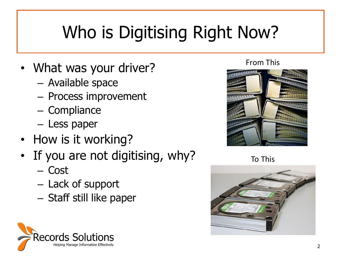# Who is Digitising Right Now?

- What was your driver?
	- Available space
	- Process improvement
	- Compliance
	- Less paper
- How is it working?
- If you are not digitising, why?
	- Cost
	- Lack of support
	- Staff still like paper



From This



To This

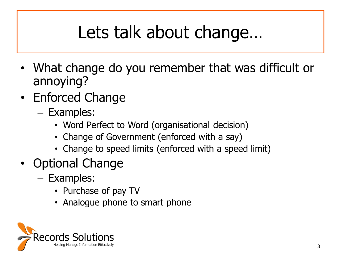# Lets talk about change…

- What change do you remember that was difficult or annoying?
- Enforced Change
	- Examples:
		- Word Perfect to Word (organisational decision)
		- Change of Government (enforced with a say)
		- Change to speed limits (enforced with a speed limit)
- Optional Change
	- Examples:
		- Purchase of pay TV
		- Analogue phone to smart phone

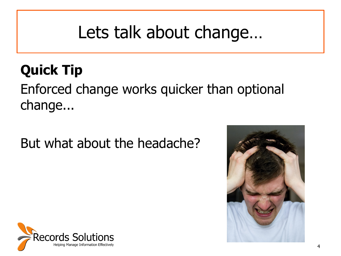### Lets talk about change…

#### **Quick Tip**

#### Enforced change works quicker than optional change...

#### But what about the headache?



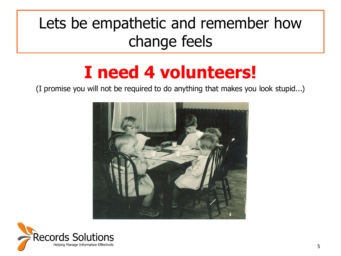#### Lets be empathetic and remember how change feels

#### **I need 4 volunteers!**

(I promise you will not be required to do anything that makes you look stupid...)



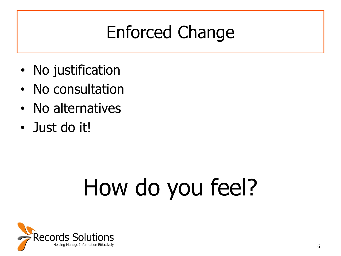# Enforced Change

- No justification
- No consultation
- No alternatives
- Just do it!

# How do you feel?

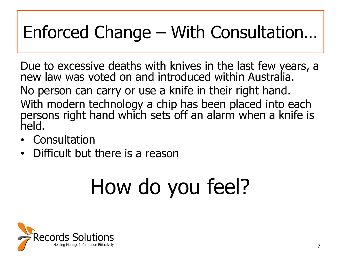# Enforced Change – With Consultation…

Due to excessive deaths with knives in the last few years, a new law was voted on and introduced within Australia. No person can carry or use a knife in their right hand. With modern technology a chip has been placed into each persons right hand which sets off an alarm when a knife is held.

- **Consultation**
- Difficult but there is a reason

# How do you feel?

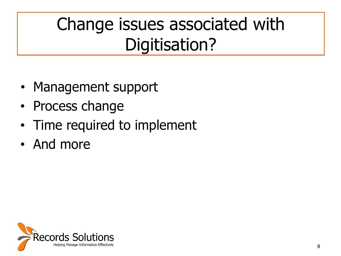# Change issues associated with Digitisation?

- Management support
- Process change
- Time required to implement
- And more

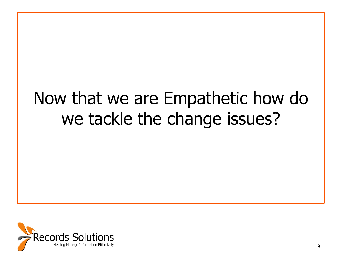### Now that we are Empathetic how do we tackle the change issues?

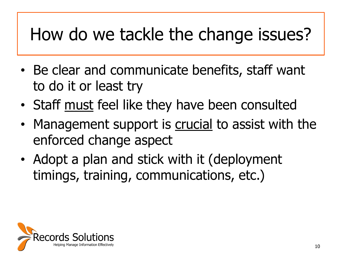## How do we tackle the change issues?

- Be clear and communicate benefits, staff want to do it or least try
- Staff must feel like they have been consulted
- Management support is crucial to assist with the enforced change aspect
- Adopt a plan and stick with it (deployment timings, training, communications, etc.)

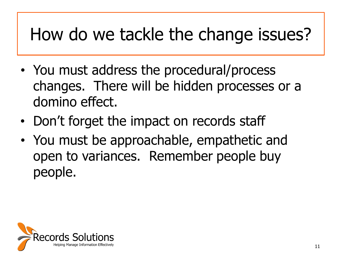## How do we tackle the change issues?

- You must address the procedural/process changes. There will be hidden processes or a domino effect.
- Don't forget the impact on records staff
- You must be approachable, empathetic and open to variances. Remember people buy people.